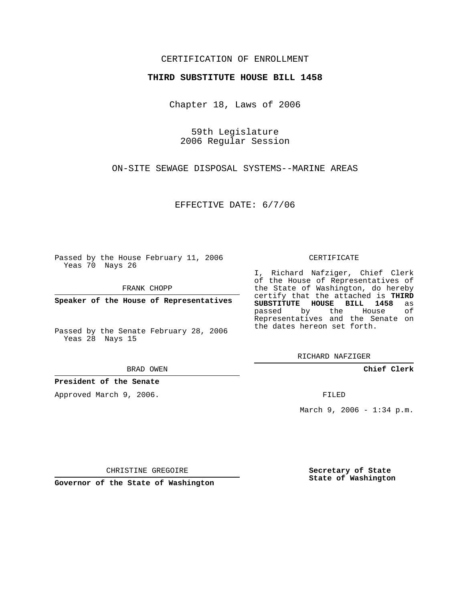## CERTIFICATION OF ENROLLMENT

## **THIRD SUBSTITUTE HOUSE BILL 1458**

Chapter 18, Laws of 2006

59th Legislature 2006 Regular Session

ON-SITE SEWAGE DISPOSAL SYSTEMS--MARINE AREAS

EFFECTIVE DATE: 6/7/06

Passed by the House February 11, 2006 Yeas 70 Nays 26

FRANK CHOPP

**Speaker of the House of Representatives**

Passed by the Senate February 28, 2006 Yeas 28 Nays 15

BRAD OWEN

**President of the Senate**

Approved March 9, 2006.

CERTIFICATE

I, Richard Nafziger, Chief Clerk of the House of Representatives of the State of Washington, do hereby certify that the attached is **THIRD SUBSTITUTE HOUSE BILL 1458** as passed by the House of Representatives and the Senate on the dates hereon set forth.

RICHARD NAFZIGER

**Chief Clerk**

FILED

March 9, 2006 - 1:34 p.m.

CHRISTINE GREGOIRE

**Governor of the State of Washington**

**Secretary of State State of Washington**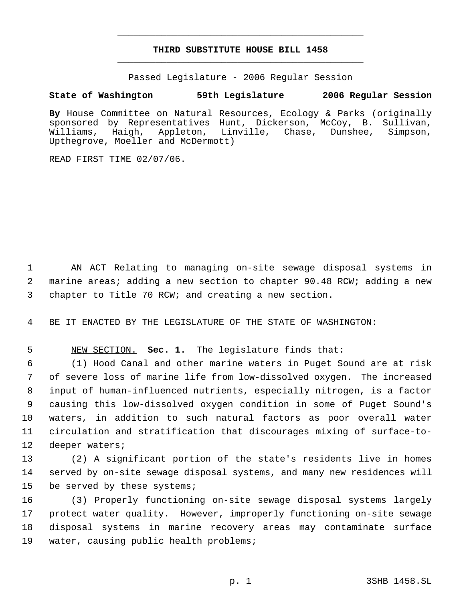## **THIRD SUBSTITUTE HOUSE BILL 1458** \_\_\_\_\_\_\_\_\_\_\_\_\_\_\_\_\_\_\_\_\_\_\_\_\_\_\_\_\_\_\_\_\_\_\_\_\_\_\_\_\_\_\_\_\_

\_\_\_\_\_\_\_\_\_\_\_\_\_\_\_\_\_\_\_\_\_\_\_\_\_\_\_\_\_\_\_\_\_\_\_\_\_\_\_\_\_\_\_\_\_

Passed Legislature - 2006 Regular Session

## **State of Washington 59th Legislature 2006 Regular Session**

**By** House Committee on Natural Resources, Ecology & Parks (originally sponsored by Representatives Hunt, Dickerson, McCoy, B. Sullivan,<br>Williams, Haigh, Appleton, Linville, Chase, Dunshee, Simpson, Williams, Haigh, Appleton, Linville, Chase, Dunshee, Simpson, Upthegrove, Moeller and McDermott)

READ FIRST TIME 02/07/06.

 AN ACT Relating to managing on-site sewage disposal systems in marine areas; adding a new section to chapter 90.48 RCW; adding a new chapter to Title 70 RCW; and creating a new section.

BE IT ENACTED BY THE LEGISLATURE OF THE STATE OF WASHINGTON:

NEW SECTION. **Sec. 1.** The legislature finds that:

 (1) Hood Canal and other marine waters in Puget Sound are at risk of severe loss of marine life from low-dissolved oxygen. The increased input of human-influenced nutrients, especially nitrogen, is a factor causing this low-dissolved oxygen condition in some of Puget Sound's waters, in addition to such natural factors as poor overall water circulation and stratification that discourages mixing of surface-to-deeper waters;

 (2) A significant portion of the state's residents live in homes served by on-site sewage disposal systems, and many new residences will be served by these systems;

 (3) Properly functioning on-site sewage disposal systems largely protect water quality. However, improperly functioning on-site sewage disposal systems in marine recovery areas may contaminate surface water, causing public health problems;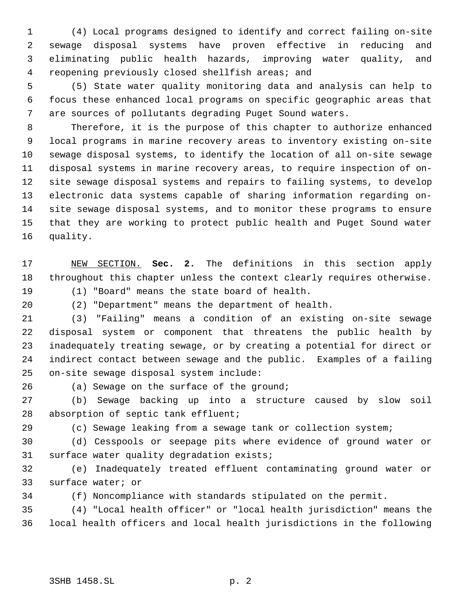(4) Local programs designed to identify and correct failing on-site sewage disposal systems have proven effective in reducing and eliminating public health hazards, improving water quality, and reopening previously closed shellfish areas; and

 (5) State water quality monitoring data and analysis can help to focus these enhanced local programs on specific geographic areas that are sources of pollutants degrading Puget Sound waters.

 Therefore, it is the purpose of this chapter to authorize enhanced local programs in marine recovery areas to inventory existing on-site sewage disposal systems, to identify the location of all on-site sewage disposal systems in marine recovery areas, to require inspection of on- site sewage disposal systems and repairs to failing systems, to develop electronic data systems capable of sharing information regarding on- site sewage disposal systems, and to monitor these programs to ensure that they are working to protect public health and Puget Sound water quality.

 NEW SECTION. **Sec. 2.** The definitions in this section apply throughout this chapter unless the context clearly requires otherwise.

 (1) "Board" means the state board of health. (2) "Department" means the department of health.

 (3) "Failing" means a condition of an existing on-site sewage disposal system or component that threatens the public health by inadequately treating sewage, or by creating a potential for direct or indirect contact between sewage and the public. Examples of a failing on-site sewage disposal system include:

26 (a) Sewage on the surface of the ground;

 (b) Sewage backing up into a structure caused by slow soil 28 absorption of septic tank effluent;

(c) Sewage leaking from a sewage tank or collection system;

 (d) Cesspools or seepage pits where evidence of ground water or surface water quality degradation exists;

 (e) Inadequately treated effluent contaminating ground water or surface water; or

(f) Noncompliance with standards stipulated on the permit.

 (4) "Local health officer" or "local health jurisdiction" means the local health officers and local health jurisdictions in the following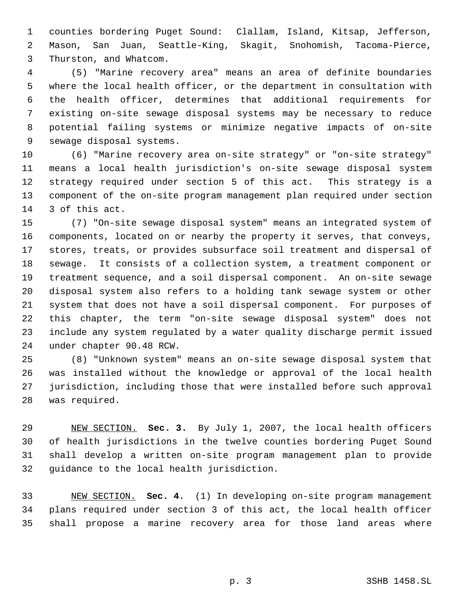counties bordering Puget Sound: Clallam, Island, Kitsap, Jefferson, Mason, San Juan, Seattle-King, Skagit, Snohomish, Tacoma-Pierce, Thurston, and Whatcom.

 (5) "Marine recovery area" means an area of definite boundaries where the local health officer, or the department in consultation with the health officer, determines that additional requirements for existing on-site sewage disposal systems may be necessary to reduce potential failing systems or minimize negative impacts of on-site sewage disposal systems.

 (6) "Marine recovery area on-site strategy" or "on-site strategy" means a local health jurisdiction's on-site sewage disposal system strategy required under section 5 of this act. This strategy is a component of the on-site program management plan required under section 3 of this act.

 (7) "On-site sewage disposal system" means an integrated system of components, located on or nearby the property it serves, that conveys, stores, treats, or provides subsurface soil treatment and dispersal of sewage. It consists of a collection system, a treatment component or treatment sequence, and a soil dispersal component. An on-site sewage disposal system also refers to a holding tank sewage system or other system that does not have a soil dispersal component. For purposes of this chapter, the term "on-site sewage disposal system" does not include any system regulated by a water quality discharge permit issued under chapter 90.48 RCW.

 (8) "Unknown system" means an on-site sewage disposal system that was installed without the knowledge or approval of the local health jurisdiction, including those that were installed before such approval was required.

 NEW SECTION. **Sec. 3.** By July 1, 2007, the local health officers of health jurisdictions in the twelve counties bordering Puget Sound shall develop a written on-site program management plan to provide guidance to the local health jurisdiction.

 NEW SECTION. **Sec. 4.** (1) In developing on-site program management plans required under section 3 of this act, the local health officer shall propose a marine recovery area for those land areas where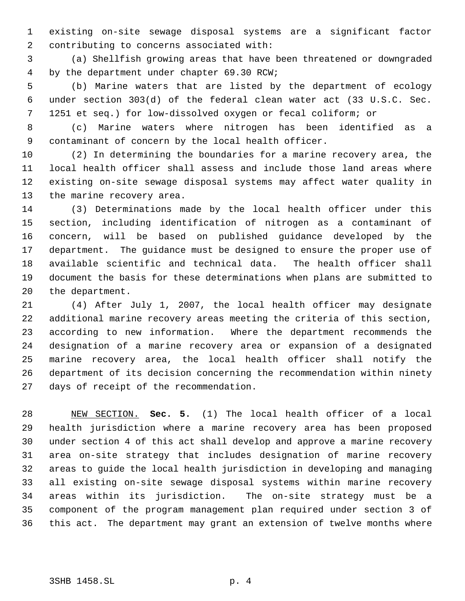existing on-site sewage disposal systems are a significant factor contributing to concerns associated with:

 (a) Shellfish growing areas that have been threatened or downgraded by the department under chapter 69.30 RCW;

 (b) Marine waters that are listed by the department of ecology under section 303(d) of the federal clean water act (33 U.S.C. Sec. 1251 et seq.) for low-dissolved oxygen or fecal coliform; or

 (c) Marine waters where nitrogen has been identified as a contaminant of concern by the local health officer.

 (2) In determining the boundaries for a marine recovery area, the local health officer shall assess and include those land areas where existing on-site sewage disposal systems may affect water quality in the marine recovery area.

 (3) Determinations made by the local health officer under this section, including identification of nitrogen as a contaminant of concern, will be based on published guidance developed by the department. The guidance must be designed to ensure the proper use of available scientific and technical data. The health officer shall document the basis for these determinations when plans are submitted to the department.

 (4) After July 1, 2007, the local health officer may designate additional marine recovery areas meeting the criteria of this section, according to new information. Where the department recommends the designation of a marine recovery area or expansion of a designated marine recovery area, the local health officer shall notify the department of its decision concerning the recommendation within ninety days of receipt of the recommendation.

 NEW SECTION. **Sec. 5.** (1) The local health officer of a local health jurisdiction where a marine recovery area has been proposed under section 4 of this act shall develop and approve a marine recovery area on-site strategy that includes designation of marine recovery areas to guide the local health jurisdiction in developing and managing all existing on-site sewage disposal systems within marine recovery areas within its jurisdiction. The on-site strategy must be a component of the program management plan required under section 3 of this act. The department may grant an extension of twelve months where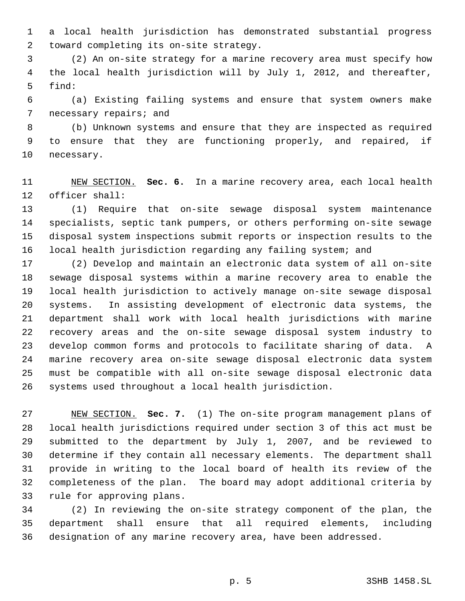a local health jurisdiction has demonstrated substantial progress toward completing its on-site strategy.

 (2) An on-site strategy for a marine recovery area must specify how the local health jurisdiction will by July 1, 2012, and thereafter, find:

 (a) Existing failing systems and ensure that system owners make necessary repairs; and

 (b) Unknown systems and ensure that they are inspected as required to ensure that they are functioning properly, and repaired, if necessary.

 NEW SECTION. **Sec. 6.** In a marine recovery area, each local health officer shall:

 (1) Require that on-site sewage disposal system maintenance specialists, septic tank pumpers, or others performing on-site sewage disposal system inspections submit reports or inspection results to the local health jurisdiction regarding any failing system; and

 (2) Develop and maintain an electronic data system of all on-site sewage disposal systems within a marine recovery area to enable the local health jurisdiction to actively manage on-site sewage disposal systems. In assisting development of electronic data systems, the department shall work with local health jurisdictions with marine recovery areas and the on-site sewage disposal system industry to develop common forms and protocols to facilitate sharing of data. A marine recovery area on-site sewage disposal electronic data system must be compatible with all on-site sewage disposal electronic data systems used throughout a local health jurisdiction.

 NEW SECTION. **Sec. 7.** (1) The on-site program management plans of local health jurisdictions required under section 3 of this act must be submitted to the department by July 1, 2007, and be reviewed to determine if they contain all necessary elements. The department shall provide in writing to the local board of health its review of the completeness of the plan. The board may adopt additional criteria by rule for approving plans.

 (2) In reviewing the on-site strategy component of the plan, the department shall ensure that all required elements, including designation of any marine recovery area, have been addressed.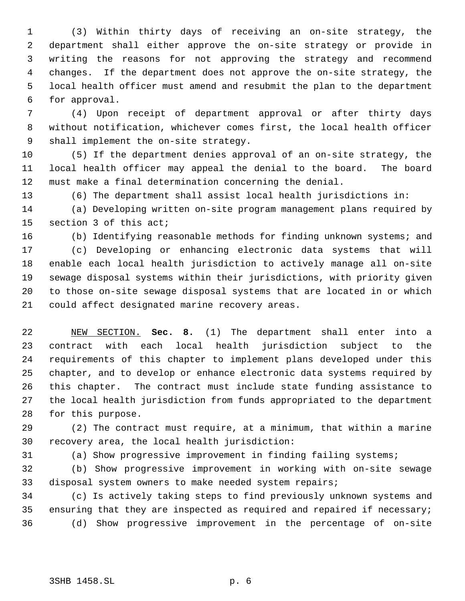(3) Within thirty days of receiving an on-site strategy, the department shall either approve the on-site strategy or provide in writing the reasons for not approving the strategy and recommend changes. If the department does not approve the on-site strategy, the local health officer must amend and resubmit the plan to the department for approval.

 (4) Upon receipt of department approval or after thirty days without notification, whichever comes first, the local health officer shall implement the on-site strategy.

 (5) If the department denies approval of an on-site strategy, the local health officer may appeal the denial to the board. The board must make a final determination concerning the denial.

(6) The department shall assist local health jurisdictions in:

 (a) Developing written on-site program management plans required by section 3 of this act;

(b) Identifying reasonable methods for finding unknown systems; and

 (c) Developing or enhancing electronic data systems that will enable each local health jurisdiction to actively manage all on-site sewage disposal systems within their jurisdictions, with priority given to those on-site sewage disposal systems that are located in or which could affect designated marine recovery areas.

 NEW SECTION. **Sec. 8.** (1) The department shall enter into a contract with each local health jurisdiction subject to the requirements of this chapter to implement plans developed under this chapter, and to develop or enhance electronic data systems required by this chapter. The contract must include state funding assistance to the local health jurisdiction from funds appropriated to the department for this purpose.

 (2) The contract must require, at a minimum, that within a marine recovery area, the local health jurisdiction:

(a) Show progressive improvement in finding failing systems;

 (b) Show progressive improvement in working with on-site sewage disposal system owners to make needed system repairs;

 (c) Is actively taking steps to find previously unknown systems and ensuring that they are inspected as required and repaired if necessary; (d) Show progressive improvement in the percentage of on-site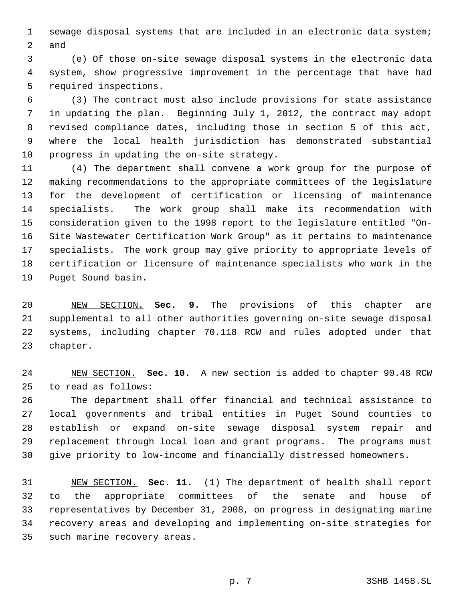sewage disposal systems that are included in an electronic data system; and

 (e) Of those on-site sewage disposal systems in the electronic data system, show progressive improvement in the percentage that have had required inspections.

 (3) The contract must also include provisions for state assistance in updating the plan. Beginning July 1, 2012, the contract may adopt revised compliance dates, including those in section 5 of this act, where the local health jurisdiction has demonstrated substantial progress in updating the on-site strategy.

 (4) The department shall convene a work group for the purpose of making recommendations to the appropriate committees of the legislature for the development of certification or licensing of maintenance specialists. The work group shall make its recommendation with consideration given to the 1998 report to the legislature entitled "On- Site Wastewater Certification Work Group" as it pertains to maintenance specialists. The work group may give priority to appropriate levels of certification or licensure of maintenance specialists who work in the Puget Sound basin.

 NEW SECTION. **Sec. 9.** The provisions of this chapter are supplemental to all other authorities governing on-site sewage disposal systems, including chapter 70.118 RCW and rules adopted under that chapter.

 NEW SECTION. **Sec. 10.** A new section is added to chapter 90.48 RCW to read as follows:

 The department shall offer financial and technical assistance to local governments and tribal entities in Puget Sound counties to establish or expand on-site sewage disposal system repair and replacement through local loan and grant programs. The programs must give priority to low-income and financially distressed homeowners.

 NEW SECTION. **Sec. 11.** (1) The department of health shall report to the appropriate committees of the senate and house of representatives by December 31, 2008, on progress in designating marine recovery areas and developing and implementing on-site strategies for such marine recovery areas.